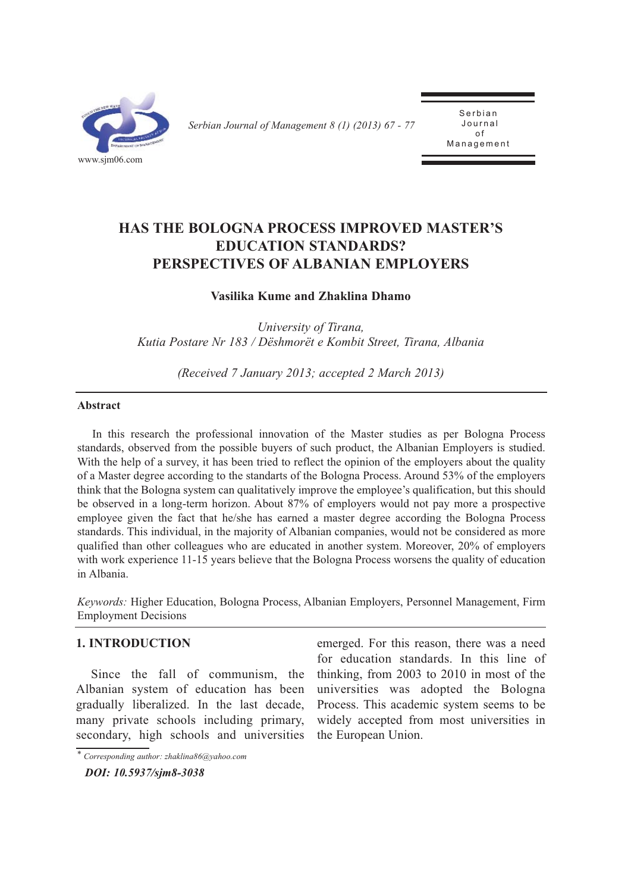

*Serbian Journal of Management 8 (1) (2013) 67 - 77* 

Serbian Journal of  $\overline{a}$ Management

# **HAS THE BOLOGnA PROCESS IMPROVED MASTER'S EDUCATIOn STAnDARDS? PERSPECTIVES OF ALBAnIAn EMPLOYERS**

# **Vasilika Kume and Zhaklina Dhamo**

*University of Tirana, Kutia Postare Nr 183 / Dëshmorët e Kombit Street, Tirana, Albania*

*(Received 7 January 2013; accepted 2 March 2013)*

## **Abstract**

In this research the professional innovation of the Master studies as per Bologna Process standards, observed from the possible buyers of such product, the Albanian Employers is studied. With the help of a survey, it has been tried to reflect the opinion of the employers about the quality of a Master degree according to the standarts of the Bologna Process. Around 53% of the employers think that the Bologna system can qualitatively improve the employee's qualification, but this should be observed in a long-term horizon. About 87% of employers would not pay more a prospective employee given the fact that he/she has earned a master degree according the Bologna Process standards. This individual, in the majority of Albanian companies, would not be considered as more qualified than other colleagues who are educated in another system. Moreover, 20% of employers with work experience 11-15 years believe that the Bologna Process worsens the quality of education in Albania.

*Keywords:* Higher Education, Bologna Process, Albanian Employers, Personnel Management, Firm Employment Decisions

# **1. InTRODUCTIOn**

Since the fall of communism, the Albanian system of education has been gradually liberalized. In the last decade, many private schools including primary, secondary, high schools and universities

*\* Corresponding author: zhaklina86@yahoo.com*

*DOI: 10.5937/sjm8-3038* 

emerged. For this reason, there was a need for education standards. In this line of thinking, from 2003 to 2010 in most of the universities was adopted the Bologna Process. This academic system seems to be widely accepted from most universities in the European Union.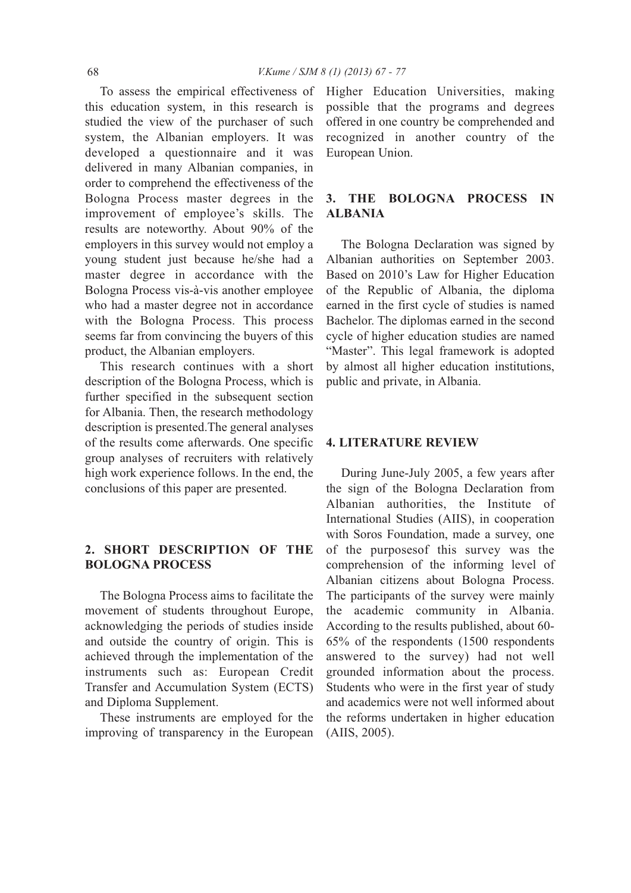To assess the empirical effectiveness of this education system, in this research is studied the view of the purchaser of such system, the Albanian employers. It was developed a questionnaire and it was delivered in many Albanian companies, in order to comprehend the effectiveness of the Bologna Process master degrees in the improvement of employee's skills. The results are noteworthy. About 90% of the employers in this survey would not employ a young student just because he/she had a master degree in accordance with the Bologna Process vis-à-vis another employee who had a master degree not in accordance with the Bologna Process. This process seems far from convincing the buyers of this product, the Albanian employers.

This research continues with a short description of the Bologna Process, which is further specified in the subsequent section for Albania. Then, the research methodology description is presented.The general analyses of the results come afterwards. One specific group analyses of recruiters with relatively high work experience follows. In the end, the conclusions of this paper are presented.

# **2. SHORT DESCRIPTIOn OF THE BOLOGnA PROCESS**

The Bologna Process aims to facilitate the movement of students throughout Europe, acknowledging the periods of studies inside and outside the country of origin. This is achieved through the implementation of the instruments such as: European Credit Transfer and Accumulation System (ECTS) and Diploma Supplement.

These instruments are employed for the improving of transparency in the European

Higher Education Universities, making possible that the programs and degrees offered in one country be comprehended and recognized in another country of the European Union.

# **3. THE BOLOGnA PROCESS In ALBAnIA**

The Bologna Declaration was signed by Albanian authorities on September 2003. Based on 2010's Law for Higher Education of the Republic of Albania, the diploma earned in the first cycle of studies is named Bachelor. The diplomas earned in the second cycle of higher education studies are named "Master". This legal framework is adopted by almost all higher education institutions, public and private, in Albania.

### **4. LITERATURE REVIEW**

During June-July 2005, a few years after the sign of the Bologna Declaration from Albanian authorities, the Institute of International Studies (AIIS), in cooperation with Soros Foundation, made a survey, one of the purposesof this survey was the comprehension of the informing level of Albanian citizens about Bologna Process. The participants of the survey were mainly the academic community in Albania. According to the results published, about 60- 65% of the respondents (1500 respondents answered to the survey) had not well grounded information about the process. Students who were in the first year of study and academics were not well informed about the reforms undertaken in higher education (AIIS, 2005).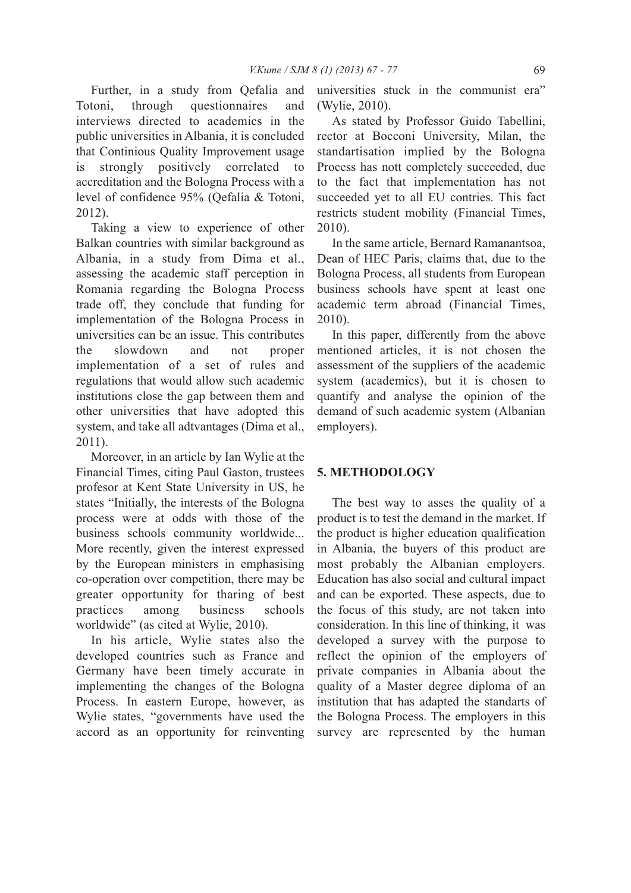Further, in a study from Qefalia and Totoni, through questionnaires and interviews directed to academics in the public universities in Albania, it is concluded that Continious Quality Improvement usage is strongly positively correlated to accreditation and the Bologna Process with a level of confidence 95% (Qefalia & Totoni, 2012).

Taking a view to experience of other Balkan countries with similar background as Albania, in a study from Dima et al., assessing the academic staff perception in Romania regarding the Bologna Process trade off, they conclude that funding for implementation of the Bologna Process in universities can be an issue. This contributes the slowdown and not proper implementation of a set of rules and regulations that would allow such academic institutions close the gap between them and other universities that have adopted this system, and take all adtvantages (Dima et al., 2011).

Moreover, in an article by Ian Wylie at the Financial Times, citing Paul Gaston, trustees profesor at Kent State University in US, he states "Initially, the interests of the Bologna process were at odds with those of the business schools community worldwide... More recently, given the interest expressed by the European ministers in emphasising co-operation over competition, there may be greater opportunity for tharing of best practices among business schools worldwide" (as cited at Wylie, 2010).

In his article, Wylie states also the developed countries such as France and Germany have been timely accurate in implementing the changes of the Bologna Process. In eastern Europe, however, as Wylie states, "governments have used the accord as an opportunity for reinventing universities stuck in the communist era" (Wylie, 2010).

As stated by Professor Guido Tabellini, rector at Bocconi University, Milan, the standartisation implied by the Bologna Process has nott completely succeeded, due to the fact that implementation has not succeeded yet to all EU contries. This fact restricts student mobility (Financial Times, 2010).

In the same article, Bernard Ramanantsoa, Dean of HEC Paris, claims that, due to the Bologna Process, all students from European business schools have spent at least one academic term abroad (Financial Times, 2010).

In this paper, differently from the above mentioned articles, it is not chosen the assessment of the suppliers of the academic system (academics), but it is chosen to quantify and analyse the opinion of the demand of such academic system (Albanian employers).

# **5. METHODOLOGY**

The best way to asses the quality of a product is to test the demand in the market. If the product is higher education qualification in Albania, the buyers of this product are most probably the Albanian employers. Education has also social and cultural impact and can be exported. These aspects, due to the focus of this study, are not taken into consideration. In this line of thinking, it was developed a survey with the purpose to reflect the opinion of the employers of private companies in Albania about the quality of a Master degree diploma of an institution that has adapted the standarts of the Bologna Process. The employers in this survey are represented by the human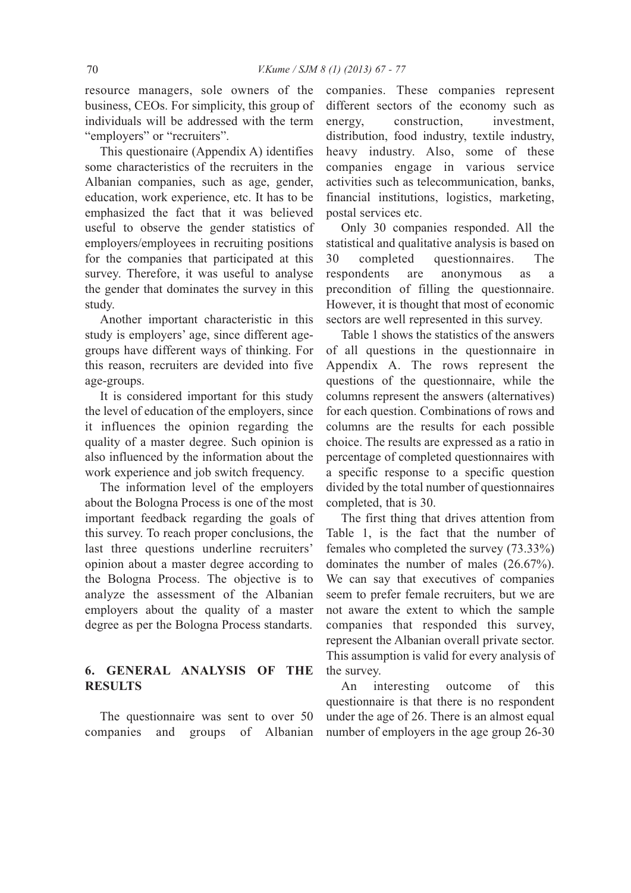resource managers, sole owners of the business, CEOs. For simplicity, this group of individuals will be addressed with the term "employers" or "recruiters".

This questionaire (Appendix A) identifies some characteristics of the recruiters in the Albanian companies, such as age, gender, education, work experience, etc. It has to be emphasized the fact that it was believed useful to observe the gender statistics of employers/employees in recruiting positions for the companies that participated at this survey. Therefore, it was useful to analyse the gender that dominates the survey in this study.

Another important characteristic in this study is employers' age, since different agegroups have different ways of thinking. For this reason, recruiters are devided into five age-groups.

It is considered important for this study the level of education of the employers, since it influences the opinion regarding the quality of a master degree. Such opinion is also influenced by the information about the work experience and job switch frequency.

The information level of the employers about the Bologna Process is one of the most important feedback regarding the goals of this survey. To reach proper conclusions, the last three questions underline recruiters' opinion about a master degree according to the Bologna Process. The objective is to analyze the assessment of the Albanian employers about the quality of a master degree as per the Bologna Process standarts.

# **6. GEnERAL AnALYSIS OF THE RESULTS**

The questionnaire was sent to over 50 companies and groups of Albanian companies. These companies represent different sectors of the economy such as energy, construction, investment, distribution, food industry, textile industry, heavy industry. Also, some of these companies engage in various service activities such as telecommunication, banks, financial institutions, logistics, marketing, postal services etc.

Only 30 companies responded. All the statistical and qualitative analysis is based on 30 completed questionnaires. The respondents are anonymous as a precondition of filling the questionnaire. However, it is thought that most of economic sectors are well represented in this survey.

Table 1 shows the statistics of the answers of all questions in the questionnaire in Appendix A. The rows represent the questions of the questionnaire, while the columns represent the answers (alternatives) for each question. Combinations of rows and columns are the results for each possible choice. The results are expressed as a ratio in percentage of completed questionnaires with a specific response to a specific question divided by the total number of questionnaires completed, that is 30.

The first thing that drives attention from Table 1, is the fact that the number of females who completed the survey (73.33%) dominates the number of males (26.67%). We can say that executives of companies seem to prefer female recruiters, but we are not aware the extent to which the sample companies that responded this survey, represent the Albanian overall private sector. This assumption is valid for every analysis of the survey.

An interesting outcome of this questionnaire is that there is no respondent under the age of 26. There is an almost equal number of employers in the age group 26-30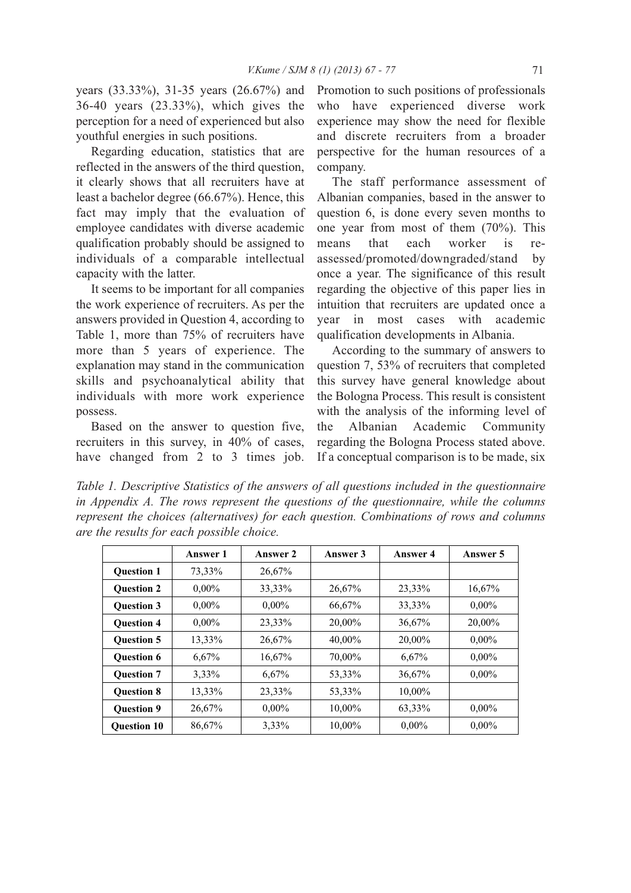years (33.33%), 31-35 years (26.67%) and 36-40 years (23.33%), which gives the perception for a need of experienced but also youthful energies in such positions.

Regarding education, statistics that are reflected in the answers of the third question, it clearly shows that all recruiters have at least a bachelor degree (66.67%). Hence, this fact may imply that the evaluation of employee candidates with diverse academic qualification probably should be assigned to individuals of a comparable intellectual capacity with the latter.

It seems to be important for all companies the work experience of recruiters. As per the answers provided in Question 4, according to Table 1, more than 75% of recruiters have more than 5 years of experience. The explanation may stand in the communication skills and psychoanalytical ability that individuals with more work experience possess.

Based on the answer to question five, recruiters in this survey, in 40% of cases, have changed from 2 to 3 times job.

Promotion to such positions of professionals who have experienced diverse work experience may show the need for flexible and discrete recruiters from a broader perspective for the human resources of a company.

The staff performance assessment of Albanian companies, based in the answer to question 6, is done every seven months to one year from most of them (70%). This means that each worker is reassessed/promoted/downgraded/stand by once a year. The significance of this result regarding the objective of this paper lies in intuition that recruiters are updated once a year in most cases with academic qualification developments in Albania.

According to the summary of answers to question 7, 53% of recruiters that completed this survey have general knowledge about the Bologna Process. This result is consistent with the analysis of the informing level of the Albanian Academic Community regarding the Bologna Process stated above. If a conceptual comparison is to be made, six

*Table 1. Descriptive Statistics of the answers of all questions included in the questionnaire in Appendix A. The rows represent the questions of the questionnaire, while the columns represent the choices (alternatives) for each question. Combinations of rows and columns are the results for each possible choice.*

|                    | <b>Answer 1</b> | Answer 2 | Answer 3 | <b>Answer 4</b> | Answer 5 |
|--------------------|-----------------|----------|----------|-----------------|----------|
| <b>Ouestion 1</b>  | 73,33%          | 26,67%   |          |                 |          |
| <b>Ouestion 2</b>  | $0,00\%$        | 33,33%   | 26,67%   | 23,33%          | 16,67%   |
| <b>Ouestion 3</b>  | $0,00\%$        | $0.00\%$ | 66,67%   | 33,33%          | $0,00\%$ |
| <b>Ouestion 4</b>  | $0,00\%$        | 23,33%   | 20,00%   | 36,67%          | 20,00%   |
| <b>Ouestion 5</b>  | 13,33%          | 26,67%   | 40,00%   | 20,00%          | $0,00\%$ |
| <b>Ouestion 6</b>  | 6,67%           | 16,67%   | 70,00%   | 6,67%           | $0,00\%$ |
| <b>Ouestion 7</b>  | 3,33%           | 6,67%    | 53,33%   | 36,67%          | $0,00\%$ |
| <b>Ouestion 8</b>  | 13,33%          | 23,33%   | 53,33%   | 10,00%          |          |
| <b>Question 9</b>  | 26,67%          | $0,00\%$ | 10,00%   | 63,33%          | $0,00\%$ |
| <b>Ouestion 10</b> | 86,67%          | 3,33%    | 10.00%   | $0.00\%$        | $0.00\%$ |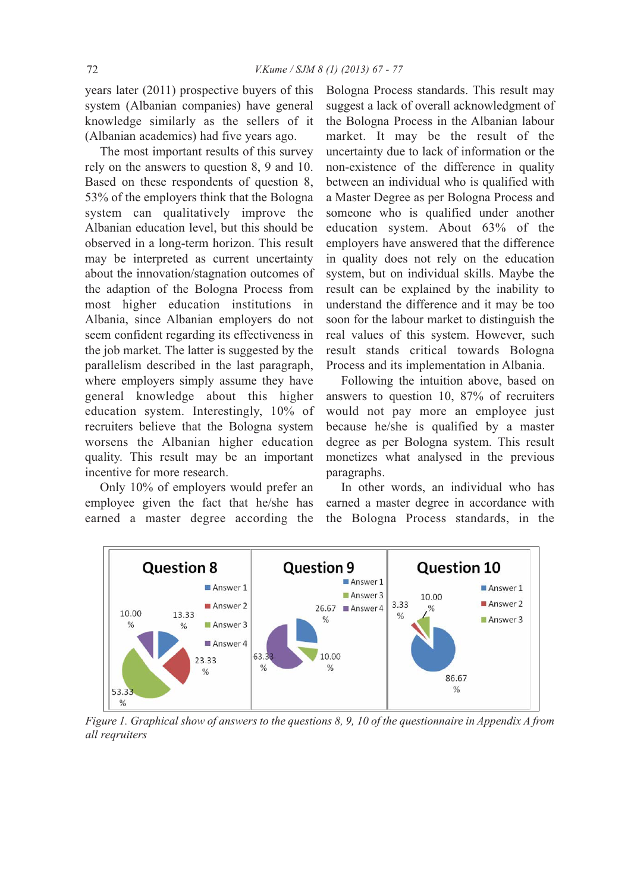years later (2011) prospective buyers of this system (Albanian companies) have general knowledge similarly as the sellers of it (Albanian academics) had five years ago.

The most important results of this survey rely on the answers to question 8, 9 and 10. Based on these respondents of question 8, 53% of the employers think that the Bologna system can qualitatively improve the Albanian education level, but this should be observed in a long-term horizon. This result may be interpreted as current uncertainty about the innovation/stagnation outcomes of the adaption of the Bologna Process from most higher education institutions in Albania, since Albanian employers do not seem confident regarding its effectiveness in the job market. The latter is suggested by the parallelism described in the last paragraph, where employers simply assume they have general knowledge about this higher education system. Interestingly, 10% of recruiters believe that the Bologna system worsens the Albanian higher education quality. This result may be an important incentive for more research.

Only 10% of employers would prefer an employee given the fact that he/she has earned a master degree according the Bologna Process standards. This result may suggest a lack of overall acknowledgment of the Bologna Process in the Albanian labour market. It may be the result of the uncertainty due to lack of information or the non-existence of the difference in quality between an individual who is qualified with a Master Degree as per Bologna Process and someone who is qualified under another education system. About 63% of the employers have answered that the difference in quality does not rely on the education system, but on individual skills. Maybe the result can be explained by the inability to understand the difference and it may be too soon for the labour market to distinguish the real values of this system. However, such result stands critical towards Bologna Process and its implementation in Albania.

Following the intuition above, based on answers to question 10, 87% of recruiters would not pay more an employee just because he/she is qualified by a master degree as per Bologna system. This result monetizes what analysed in the previous paragraphs.

In other words, an individual who has earned a master degree in accordance with the Bologna Process standards, in the



*Figure 1. Graphical show of answers to the questions 8, 9, 10 of the questionnaire in Appendix A from all reqruiters*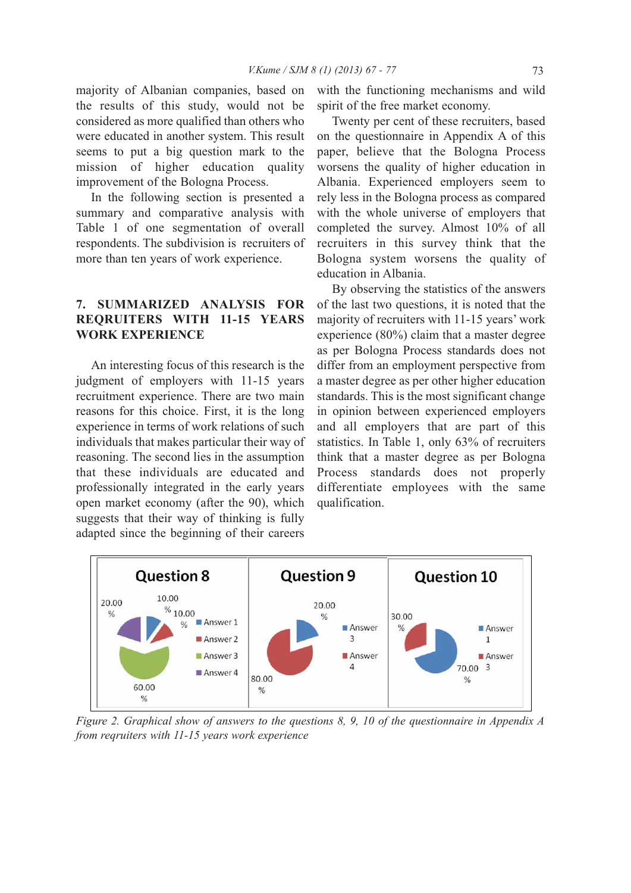majority of Albanian companies, based on the results of this study, would not be considered as more qualified than others who were educated in another system. This result seems to put a big question mark to the mission of higher education quality improvement of the Bologna Process.

In the following section is presented a summary and comparative analysis with Table 1 of one segmentation of overall respondents. The subdivision is recruiters of more than ten years of work experience.

# **7. SUMMARIZED AnALYSIS FOR REQRUITERS WITH 11-15 YEARS WORK EXPERIEnCE**

An interesting focus of this research is the judgment of employers with 11-15 years recruitment experience. There are two main reasons for this choice. First, it is the long experience in terms of work relations of such individuals that makes particular their way of reasoning. The second lies in the assumption that these individuals are educated and professionally integrated in the early years open market economy (after the 90), which suggests that their way of thinking is fully adapted since the beginning of their careers

with the functioning mechanisms and wild spirit of the free market economy.

Twenty per cent of these recruiters, based on the questionnaire in Appendix A of this paper, believe that the Bologna Process worsens the quality of higher education in Albania. Experienced employers seem to rely less in the Bologna process as compared with the whole universe of employers that completed the survey. Almost 10% of all recruiters in this survey think that the Bologna system worsens the quality of education in Albania.

By observing the statistics of the answers of the last two questions, it is noted that the majority of recruiters with 11-15 years' work experience (80%) claim that a master degree as per Bologna Process standards does not differ from an employment perspective from a master degree as per other higher education standards. This is the most significant change in opinion between experienced employers and all employers that are part of this statistics. In Table 1, only 63% of recruiters think that a master degree as per Bologna Process standards does not properly differentiate employees with the same qualification.



*Figure 2. Graphical show of answers to the questions 8, 9, 10 of the questionnaire in Appendix A from reqruiters with 11-15 years work experience*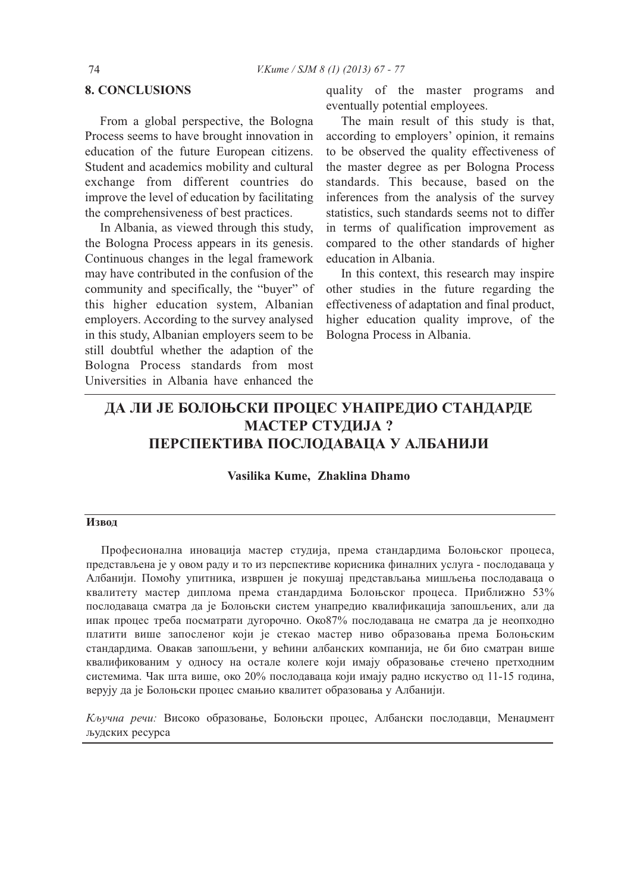# **8. COnCLUSIOnS**

From a global perspective, the Bologna Process seems to have brought innovation in education of the future European citizens. Student and academics mobility and cultural exchange from different countries do improve the level of education by facilitating the comprehensiveness of best practices.

In Albania, as viewed through this study, the Bologna Process appears in its genesis. Continuous changes in the legal framework may have contributed in the confusion of the community and specifically, the "buyer" of this higher education system, Albanian employers. According to the survey analysed in this study, Albanian employers seem to be still doubtful whether the adaption of the Bologna Process standards from most Universities in Albania have enhanced the

quality of the master programs and eventually potential employees.

The main result of this study is that, according to employers' opinion, it remains to be observed the quality effectiveness of the master degree as per Bologna Process standards. This because, based on the inferences from the analysis of the survey statistics, such standards seems not to differ in terms of qualification improvement as compared to the other standards of higher education in Albania.

In this context, this research may inspire other studies in the future regarding the effectiveness of adaptation and final product, higher education quality improve, of the Bologna Process in Albania.

# **ДА ЛИ ЈЕ БОЛОЊСКИ ПРОЦЕС УНАПРЕДИО СТАНДАРДЕ МАСТЕР СТУДИЈА ? ПЕРСПЕКТИВА ПОСЛОДАВАЦА У АЛБАНИЈИ**

**Vasilika Kume, Zhaklina Dhamo**

## **Извод**

Професионална иновација мастер студија, према стандардима Болоњског процеса, представљена је у овом раду и то из перспективе корисника финалних услуга - послодаваца у Албанији. Помоћу упитника, извршен је покушај представљања мишљења послодаваца о квалитету мастер диплома према стандардима Болоњског процеса. Приближно 53% послодаваца сматра да је Болоњски систем унапредио квалификација запошљених, али да ипак процес треба посматрати дугорочно. Око87% послодаваца не сматра да је неопходно платити више запосленог који је стекао мастер ниво образовања према Болоњским стандардима. Овакав запошљени, у већини албанских компанија, не би био сматран више квалификованим у односу на остале колеге који имају образовање стечено претходним системима. Чак шта више, око 20% послодаваца који имају радно искуство од 11-15 година, верују да је Болоњски процес смањио квалитет образовања у Албанији.

*Кључна речи:* Високо образовање, Болоњски процес, Албански послодавци, Менаџмент људских ресурса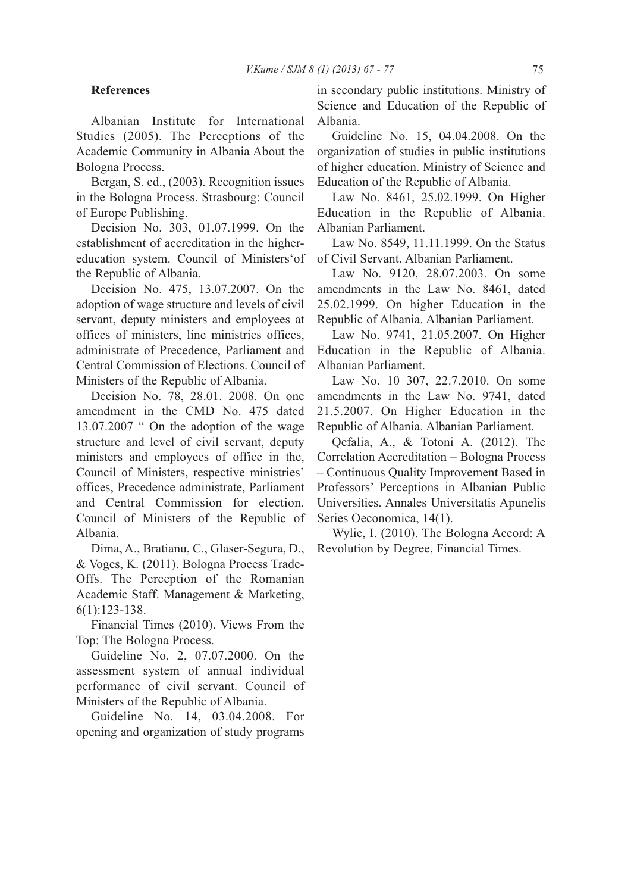## **References**

Albanian Institute for International Studies (2005). The Perceptions of the Academic Community in Albania About the Bologna Process.

Bergan, S. ed., (2003). Recognition issues in the Bologna Process. Strasbourg: Council of Europe Publishing.

Decision No. 303, 01.07.1999. On the establishment of accreditation in the highereducation system. Council of Ministers'of the Republic of Albania.

Decision No. 475, 13.07.2007. On the adoption of wage structure and levels of civil servant, deputy ministers and employees at offices of ministers, line ministries offices, administrate of Precedence, Parliament and Central Commission of Elections. Council of Ministers of the Republic of Albania.

Decision No. 78, 28.01. 2008. On one amendment in the CMD No. 475 dated 13.07.2007 " On the adoption of the wage structure and level of civil servant, deputy ministers and employees of office in the, Council of Ministers, respective ministries' offices, Precedence administrate, Parliament and Central Commission for election. Council of Ministers of the Republic of Albania.

Dima, A., Bratianu, C., Glaser-Segura, D., & Voges, K. (2011). Bologna Process Trade-Offs. The Perception of the Romanian Academic Staff. Management & Marketing, 6(1):123-138.

Financial Times (2010). Views From the Top: The Bologna Process.

Guideline No. 2, 07.07.2000. On the assessment system of annual individual performance of civil servant. Council of Ministers of the Republic of Albania.

Guideline No. 14, 03.04.2008. For opening and organization of study programs in secondary public institutions. Ministry of Science and Education of the Republic of Albania.

Guideline No. 15, 04.04.2008. On the organization of studies in public institutions of higher education. Ministry of Science and Education of the Republic of Albania.

Law No. 8461, 25.02.1999. On Higher Education in the Republic of Albania. Albanian Parliament.

Law No. 8549, 11.11.1999. On the Status of Civil Servant. Albanian Parliament.

Law No. 9120, 28.07.2003. On some amendments in the Law No. 8461, dated 25.02.1999. On higher Education in the Republic of Albania. Albanian Parliament.

Law No. 9741, 21.05.2007. On Higher Education in the Republic of Albania. Albanian Parliament.

Law No. 10 307, 22.7.2010. On some amendments in the Law No. 9741, dated 21.5.2007. On Higher Education in the Republic of Albania. Albanian Parliament.

Qefalia, A., & Totoni A. (2012). The Correlation Accreditation – Bologna Process – Continuous Quality Improvement Based in Professors' Perceptions in Albanian Public Universities. Annales Universitatis Apunelis Series Oeconomica, 14(1).

Wylie, I. (2010). The Bologna Accord: A Revolution by Degree, Financial Times.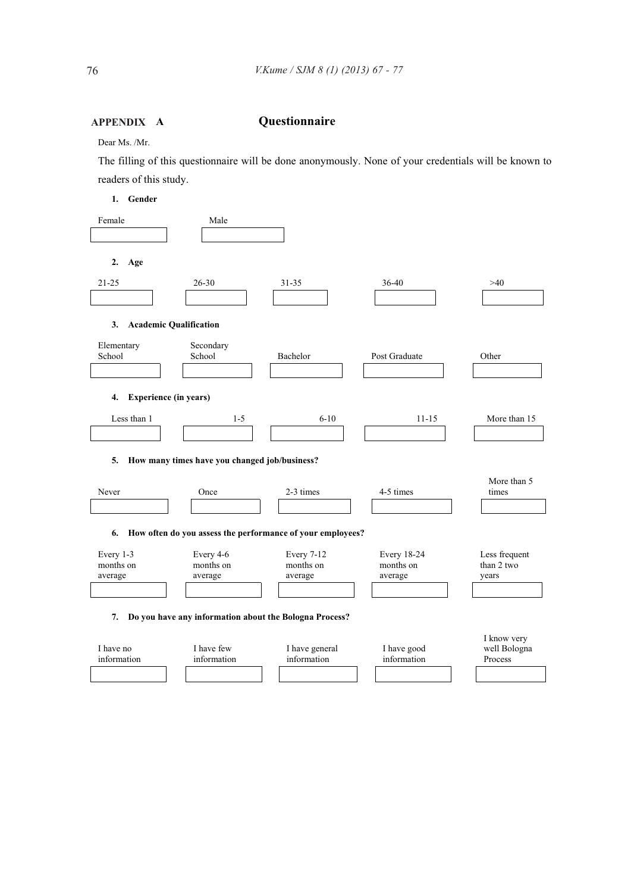#### **Questionnaire APPEnDIX**

Dear Ms. /Mr.

The filling of this questionnaire will be done anonymously. None of your credentials will be known to readers of this study.

**1. Gender** 

| Female                                                           | Male                      |                               |                            |                                        |  |  |  |  |
|------------------------------------------------------------------|---------------------------|-------------------------------|----------------------------|----------------------------------------|--|--|--|--|
| 2.<br>Age                                                        |                           |                               |                            |                                        |  |  |  |  |
| 21-25                                                            | $26 - 30$                 | $31 - 35$                     | 36-40                      | >40                                    |  |  |  |  |
|                                                                  |                           |                               |                            |                                        |  |  |  |  |
| <b>Academic Qualification</b><br>3.                              |                           |                               |                            |                                        |  |  |  |  |
| Elementary<br>School                                             | Secondary<br>School       | Bachelor                      | Post Graduate              | Other                                  |  |  |  |  |
|                                                                  |                           |                               |                            |                                        |  |  |  |  |
| <b>Experience (in years)</b><br>4.                               |                           |                               |                            |                                        |  |  |  |  |
| Less than 1                                                      | $1 - 5$                   | $6 - 10$                      | $11 - 15$                  | More than 15                           |  |  |  |  |
|                                                                  |                           |                               |                            |                                        |  |  |  |  |
| How many times have you changed job/business?<br>5.              |                           |                               |                            |                                        |  |  |  |  |
| Never                                                            | Once                      | 2-3 times                     | 4-5 times                  | More than 5<br>times                   |  |  |  |  |
|                                                                  |                           |                               |                            |                                        |  |  |  |  |
| How often do you assess the performance of your employees?<br>6. |                           |                               |                            |                                        |  |  |  |  |
| Every 1-3                                                        | Every 4-6                 | Every 7-12                    | <b>Every 18-24</b>         | Less frequent                          |  |  |  |  |
| months on<br>average                                             | months on<br>average      | months on<br>average          | months on<br>average       | than 2 two<br>years                    |  |  |  |  |
|                                                                  |                           |                               |                            |                                        |  |  |  |  |
| 7.<br>Do you have any information about the Bologna Process?     |                           |                               |                            |                                        |  |  |  |  |
| I have no<br>information                                         | I have few<br>information | I have general<br>information | I have good<br>information | I know very<br>well Bologna<br>Process |  |  |  |  |
|                                                                  |                           |                               |                            |                                        |  |  |  |  |